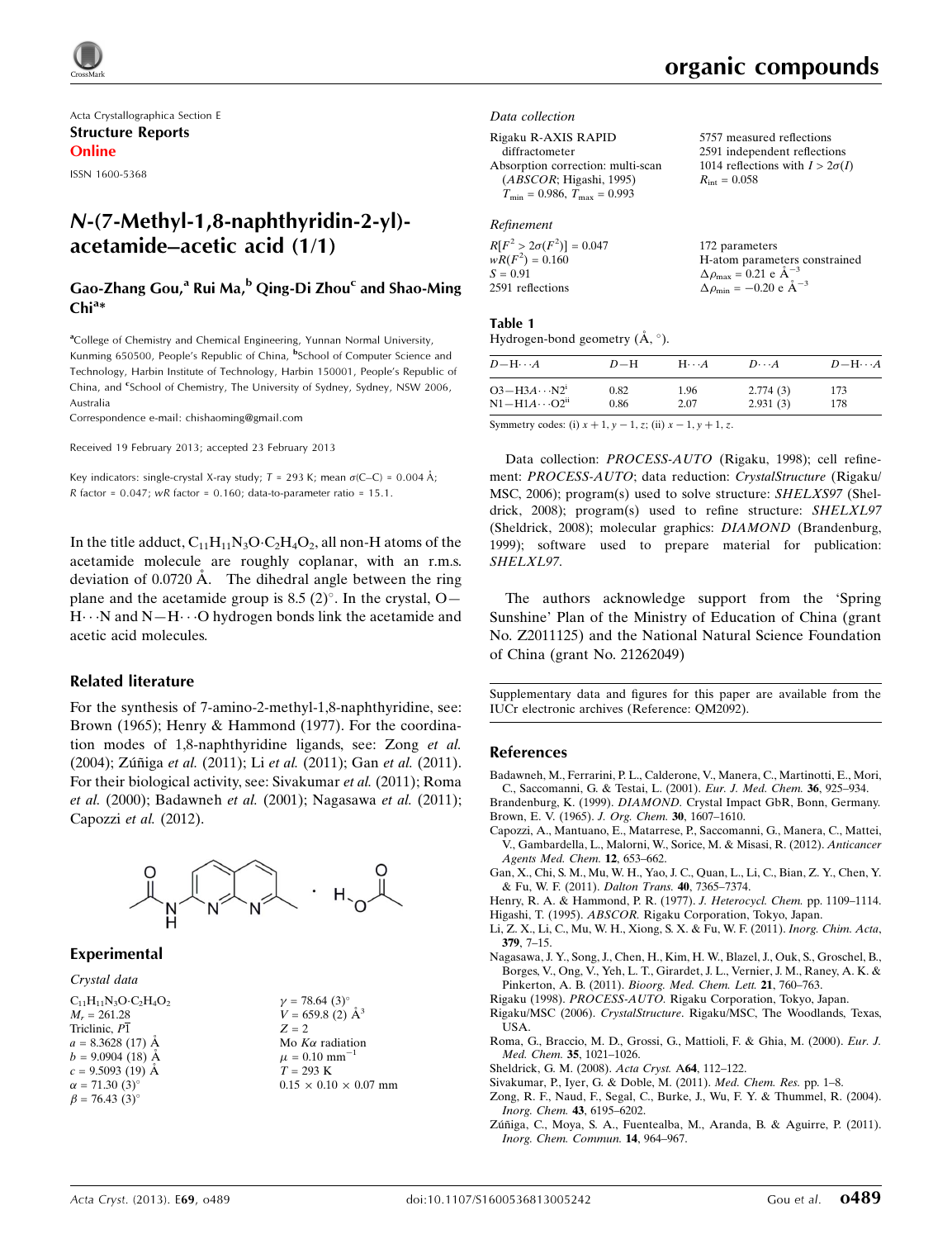

Acta Crystallographica Section E Structure Reports Online

ISSN 1600-5368

# N-(7-Methyl-1,8-naphthyridin-2-yl) acetamide–acetic acid (1/1)

## Gao-Zhang Gou,<sup>a</sup> Rui Ma,<sup>b</sup> Qing-Di Zhou<sup>c</sup> and Shao-Ming  $Chi^{a*}$

<sup>a</sup>College of Chemistry and Chemical Engineering, Yunnan Normal University, Kunming 650500, People's Republic of China, <sup>b</sup>School of Computer Science and Technology, Harbin Institute of Technology, Harbin 150001, People's Republic of China, and <sup>c</sup>School of Chemistry, The University of Sydney, Sydney, NSW 2006, Australia

Correspondence e-mail: [chishaoming@gmail.com](https://scripts.iucr.org/cgi-bin/cr.cgi?rm=pdfbb&cnor=qm2092&bbid=BB16)

Received 19 February 2013; accepted 23 February 2013

Key indicators: single-crystal X-ray study;  $T = 293$  K; mean  $\sigma$ (C–C) = 0.004 Å;  $R$  factor = 0.047;  $wR$  factor = 0.160; data-to-parameter ratio = 15.1.

In the title adduct,  $C_{11}H_{11}N_3O \cdot C_2H_4O_2$ , all non-H atoms of the acetamide molecule are roughly coplanar, with an r.m.s. deviation of  $0.0720$  Å. The dihedral angle between the ring plane and the acetamide group is 8.5  $(2)^\circ$ . In the crystal, O-H···N and N-H···O hydrogen bonds link the acetamide and acetic acid molecules.

#### Related literature

For the synthesis of 7-amino-2-methyl-1,8-naphthyridine, see: Brown (1965); Henry & Hammond (1977). For the coordination modes of 1,8-naphthyridine ligands, see: Zong et al. (2004); Zúñiga et al. (2011); Li et al. (2011); Gan et al. (2011). For their biological activity, see: Sivakumar et al. (2011); Roma et al. (2000); Badawneh et al. (2001); Nagasawa et al. (2011); Capozzi et al. (2012).



#### Experimental

Crystal data

 $C_{11}H_{11}N_3O \cdot C_2H_4O_2$  $M_r = 261.28$ Triclinic,  $\overline{P1}$  $a = 8.3628(17)$  Å  $b = 9.0904(18)$  Å  $c = 9.5093(19)$  Å  $\alpha = 71.30 \ (3)^{\circ}$  $\beta = 76.43$  (3)<sup>o</sup>

| $\gamma = 78.64~(3)^{\circ}$      |
|-----------------------------------|
| $V = 659.8$ (2) $\AA^3$           |
| $Z = 2$                           |
| Mo $K\alpha$ radiation            |
| $\mu = 0.10$ mm <sup>-1</sup>     |
| $T = 293 K$                       |
| $0.15 \times 0.10 \times 0.07$ mm |
|                                   |

# organic compounds

5757 measured reflections 2591 independent reflections 1014 reflections with  $I > 2\sigma(I)$ 

 $R_{\text{int}} = 0.058$ 

Data collection

Rigaku R-AXIS RAPID diffractometer Absorption correction: multi-scan (ABSCOR; Higashi, 1995)  $T_{\text{min}} = 0.986, T_{\text{max}} = 0.993$ 

#### Refinement

| $R[F^2 > 2\sigma(F^2)] = 0.047$ | 172 parameters                                                |
|---------------------------------|---------------------------------------------------------------|
| $wR(F^2) = 0.160$               | H-atom parameters constrained                                 |
| $S = 0.91$                      | $\Delta \rho_{\text{max}} = 0.21 \text{ e A}^{-3}$            |
| 2591 reflections                | $\Delta \rho_{\text{min}} = -0.20 \text{ e } \text{\AA}^{-3}$ |
|                                 |                                                               |

#### Table 1

Hydrogen-bond geometry  $(\AA, \degree)$ .

| $D - H \cdots A$                  | $D-H$ | $H\cdots A$ | $D\cdots A$ | $D - H \cdots A$ |
|-----------------------------------|-------|-------------|-------------|------------------|
| $O3 - H3A \cdots N2$ <sup>1</sup> | 0.82  | 1.96        | 2.774(3)    | 173              |
| $N1 - H1A \cdots O2^{ii}$         | 0.86  | 2.07        | 2.931(3)    | 178              |

Symmetry codes: (i)  $x + 1$ ,  $y - 1$ , z; (ii)  $x - 1$ ,  $y + 1$ , z.

Data collection: PROCESS-AUTO (Rigaku, 1998); cell refinement: PROCESS-AUTO; data reduction: CrystalStructure (Rigaku/ MSC, 2006); program(s) used to solve structure: SHELXS97 (Sheldrick, 2008); program(s) used to refine structure: SHELXL97 (Sheldrick, 2008); molecular graphics: DIAMOND (Brandenburg, 1999); software used to prepare material for publication: SHELXL97.

The authors acknowledge support from the 'Spring Sunshine' Plan of the Ministry of Education of China (grant No. Z2011125) and the National Natural Science Foundation of China (grant No. 21262049)

Supplementary data and figures for this paper are available from the IUCr electronic archives (Reference: QM2092).

#### References

[Badawneh, M., Ferrarini, P. L., Calderone, V., Manera, C., Martinotti, E., Mori,](https://scripts.iucr.org/cgi-bin/cr.cgi?rm=pdfbb&cnor=qm2092&bbid=BB1) [C., Saccomanni, G. & Testai, L. \(2001\).](https://scripts.iucr.org/cgi-bin/cr.cgi?rm=pdfbb&cnor=qm2092&bbid=BB1) Eur. J. Med. Chem. 36, 925–934.

Brandenburg, K. (1999). DIAMOND. [Crystal Impact GbR, Bonn, Germany.](https://scripts.iucr.org/cgi-bin/cr.cgi?rm=pdfbb&cnor=qm2092&bbid=BB2) [Brown, E. V. \(1965\).](https://scripts.iucr.org/cgi-bin/cr.cgi?rm=pdfbb&cnor=qm2092&bbid=BB3) J. Org. Chem. 30, 1607–1610.

- [Capozzi, A., Mantuano, E., Matarrese, P., Saccomanni, G., Manera, C., Mattei,](https://scripts.iucr.org/cgi-bin/cr.cgi?rm=pdfbb&cnor=qm2092&bbid=BB4) [V., Gambardella, L., Malorni, W., Sorice, M. & Misasi, R. \(2012\).](https://scripts.iucr.org/cgi-bin/cr.cgi?rm=pdfbb&cnor=qm2092&bbid=BB4) Anticancer [Agents Med. Chem.](https://scripts.iucr.org/cgi-bin/cr.cgi?rm=pdfbb&cnor=qm2092&bbid=BB4) 12, 653–662.
- [Gan, X., Chi, S. M., Mu, W. H., Yao, J. C., Quan, L., Li, C., Bian, Z. Y., Chen, Y.](https://scripts.iucr.org/cgi-bin/cr.cgi?rm=pdfbb&cnor=qm2092&bbid=BB5) [& Fu, W. F. \(2011\).](https://scripts.iucr.org/cgi-bin/cr.cgi?rm=pdfbb&cnor=qm2092&bbid=BB5) Dalton Trans. 40, 7365–7374.

[Henry, R. A. & Hammond, P. R. \(1977\).](https://scripts.iucr.org/cgi-bin/cr.cgi?rm=pdfbb&cnor=qm2092&bbid=BB6) J. Heterocycl. Chem. pp. 1109–1114. Higashi, T. (1995). ABSCOR. [Rigaku Corporation, Tokyo, Japan.](https://scripts.iucr.org/cgi-bin/cr.cgi?rm=pdfbb&cnor=qm2092&bbid=BB7)

- [Li, Z. X., Li, C., Mu, W. H., Xiong, S. X. & Fu, W. F. \(2011\).](https://scripts.iucr.org/cgi-bin/cr.cgi?rm=pdfbb&cnor=qm2092&bbid=BB8) Inorg. Chim. Acta, 379[, 7–15.](https://scripts.iucr.org/cgi-bin/cr.cgi?rm=pdfbb&cnor=qm2092&bbid=BB8)
- [Nagasawa, J. Y., Song, J., Chen, H., Kim, H. W., Blazel, J., Ouk, S., Groschel, B.,](https://scripts.iucr.org/cgi-bin/cr.cgi?rm=pdfbb&cnor=qm2092&bbid=BB9) [Borges, V., Ong, V., Yeh, L. T., Girardet, J. L., Vernier, J. M., Raney, A. K. &](https://scripts.iucr.org/cgi-bin/cr.cgi?rm=pdfbb&cnor=qm2092&bbid=BB9) Pinkerton, A. B. (2011). [Bioorg. Med. Chem. Lett.](https://scripts.iucr.org/cgi-bin/cr.cgi?rm=pdfbb&cnor=qm2092&bbid=BB9) 21, 760–763.
- Rigaku (1998). PROCESS-AUTO. [Rigaku Corporation, Tokyo, Japan.](https://scripts.iucr.org/cgi-bin/cr.cgi?rm=pdfbb&cnor=qm2092&bbid=BB10)
- Rigaku/MSC (2006). CrystalStructure[. Rigaku/MSC, The Woodlands, Texas,](https://scripts.iucr.org/cgi-bin/cr.cgi?rm=pdfbb&cnor=qm2092&bbid=BB11) [USA.](https://scripts.iucr.org/cgi-bin/cr.cgi?rm=pdfbb&cnor=qm2092&bbid=BB11)
- [Roma, G., Braccio, M. D., Grossi, G., Mattioli, F. & Ghia, M. \(2000\).](https://scripts.iucr.org/cgi-bin/cr.cgi?rm=pdfbb&cnor=qm2092&bbid=BB12) Eur. J. Med. Chem. 35[, 1021–1026.](https://scripts.iucr.org/cgi-bin/cr.cgi?rm=pdfbb&cnor=qm2092&bbid=BB12)
- [Sheldrick, G. M. \(2008\).](https://scripts.iucr.org/cgi-bin/cr.cgi?rm=pdfbb&cnor=qm2092&bbid=BB13) Acta Cryst. A64, 112–122.
- [Sivakumar, P., Iyer, G. & Doble, M. \(2011\).](https://scripts.iucr.org/cgi-bin/cr.cgi?rm=pdfbb&cnor=qm2092&bbid=BB14) Med. Chem. Res. pp. 1–8.
- [Zong, R. F., Naud, F., Segal, C., Burke, J., Wu, F. Y. & Thummel, R. \(2004\).](https://scripts.iucr.org/cgi-bin/cr.cgi?rm=pdfbb&cnor=qm2092&bbid=BB15) [Inorg. Chem.](https://scripts.iucr.org/cgi-bin/cr.cgi?rm=pdfbb&cnor=qm2092&bbid=BB15) 43, 6195–6202.
- Zúñiga, C., Moya, S. A., Fuentealba, M., Aranda, B. & Aguirre, P. (2011). [Inorg. Chem. Commun.](https://scripts.iucr.org/cgi-bin/cr.cgi?rm=pdfbb&cnor=qm2092&bbid=BB16) 14, 964–967.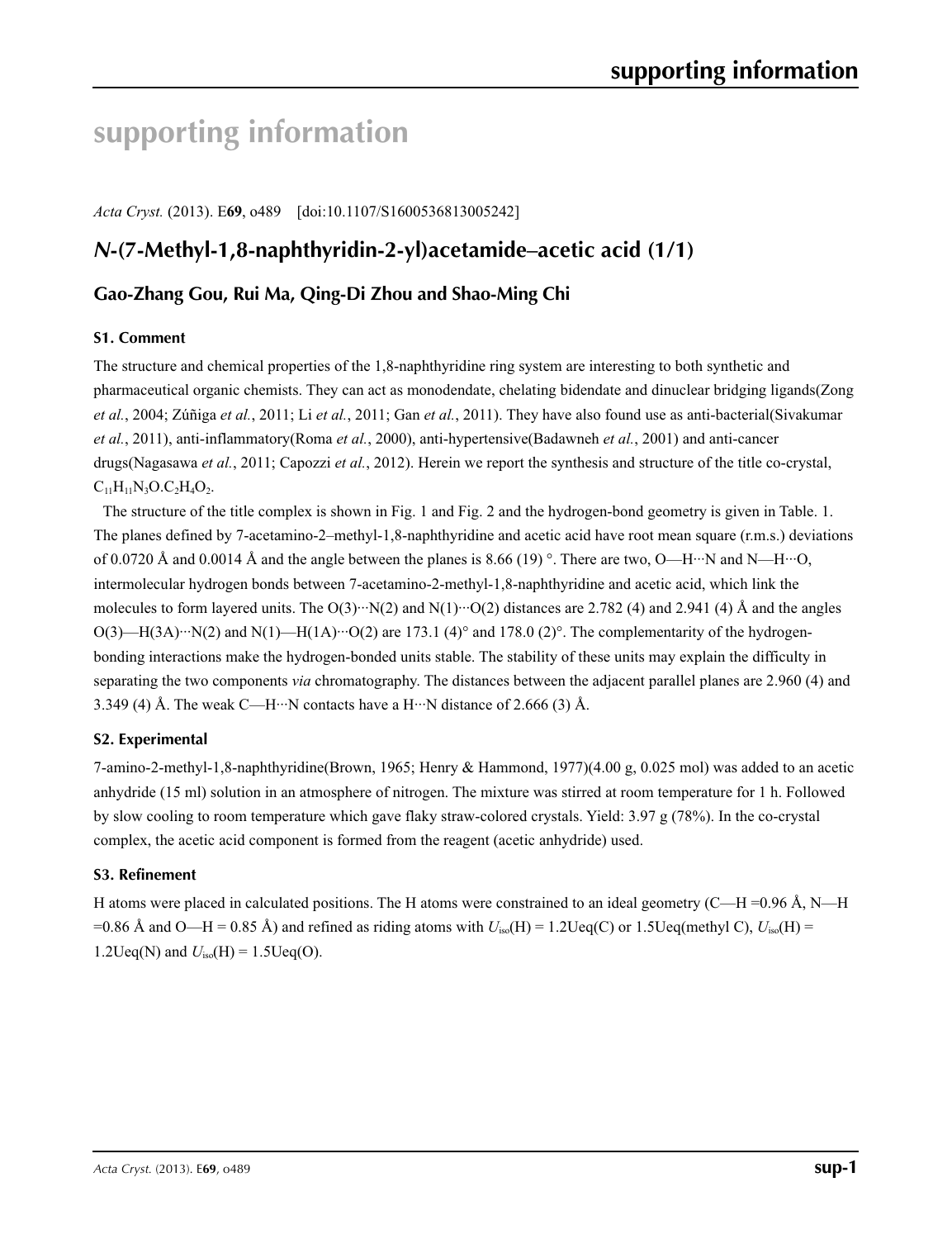# **supporting information**

*Acta Cryst.* (2013). E**69**, o489 [doi:10.1107/S1600536813005242]

# *N***-(7-Methyl-1,8-naphthyridin-2-yl)acetamide–acetic acid (1/1)**

## **Gao-Zhang Gou, Rui Ma, Qing-Di Zhou and Shao-Ming Chi**

#### **S1. Comment**

The structure and chemical properties of the 1,8-naphthyridine ring system are interesting to both synthetic and pharmaceutical organic chemists. They can act as monodendate, chelating bidendate and dinuclear bridging ligands(Zong *et al.*, 2004; Zúñiga *et al.*, 2011; Li *et al.*, 2011; Gan *et al.*, 2011). They have also found use as anti-bacterial(Sivakumar *et al.*, 2011), anti-inflammatory(Roma *et al.*, 2000), anti-hypertensive(Badawneh *et al.*, 2001) and anti-cancer drugs(Nagasawa *et al.*, 2011; Capozzi *et al.*, 2012). Herein we report the synthesis and structure of the title co-crystal,  $C_{11}H_{11}N_3O.C_2H_4O_2.$ 

The structure of the title complex is shown in Fig. 1 and Fig. 2 and the hydrogen-bond geometry is given in Table. 1. The planes defined by 7-acetamino-2–methyl-1,8-naphthyridine and acetic acid have root mean square (r.m.s.) deviations of 0.0720 Å and 0.0014 Å and the angle between the planes is 8.66 (19) °. There are two, O—H…N and N—H…O, intermolecular hydrogen bonds between 7-acetamino-2-methyl-1,8-naphthyridine and acetic acid, which link the molecules to form layered units. The  $O(3) \cdot \cdot \cdot N(2)$  and  $N(1) \cdot \cdot \cdot O(2)$  distances are 2.782 (4) and 2.941 (4) Å and the angles  $O(3)$ —H(3A)···N(2) and N(1)—H(1A)···O(2) are 173.1 (4)° and 178.0 (2)°. The complementarity of the hydrogenbonding interactions make the hydrogen-bonded units stable. The stability of these units may explain the difficulty in separating the two components *via* chromatography. The distances between the adjacent parallel planes are 2.960 (4) and 3.349 (4) Å. The weak C—H…N contacts have a H…N distance of 2.666 (3) Å.

### **S2. Experimental**

7-amino-2-methyl-1,8-naphthyridine(Brown, 1965; Henry & Hammond, 1977)(4.00 g, 0.025 mol) was added to an acetic anhydride (15 ml) solution in an atmosphere of nitrogen. The mixture was stirred at room temperature for 1 h. Followed by slow cooling to room temperature which gave flaky straw-colored crystals. Yield: 3.97 g (78%). In the co-crystal complex, the acetic acid component is formed from the reagent (acetic anhydride) used.

#### **S3. Refinement**

H atoms were placed in calculated positions. The H atoms were constrained to an ideal geometry (C—H =0.96 Å, N—H =0.86 Å and O—H = 0.85 Å) and refined as riding atoms with  $U_{iso}(H) = 1.2 \text{Ueq}(C)$  or 1.5Ueq(methyl C),  $U_{iso}(H) =$ 1.2Ueq(N) and  $U_{iso}(H) = 1.5$ Ueq(O).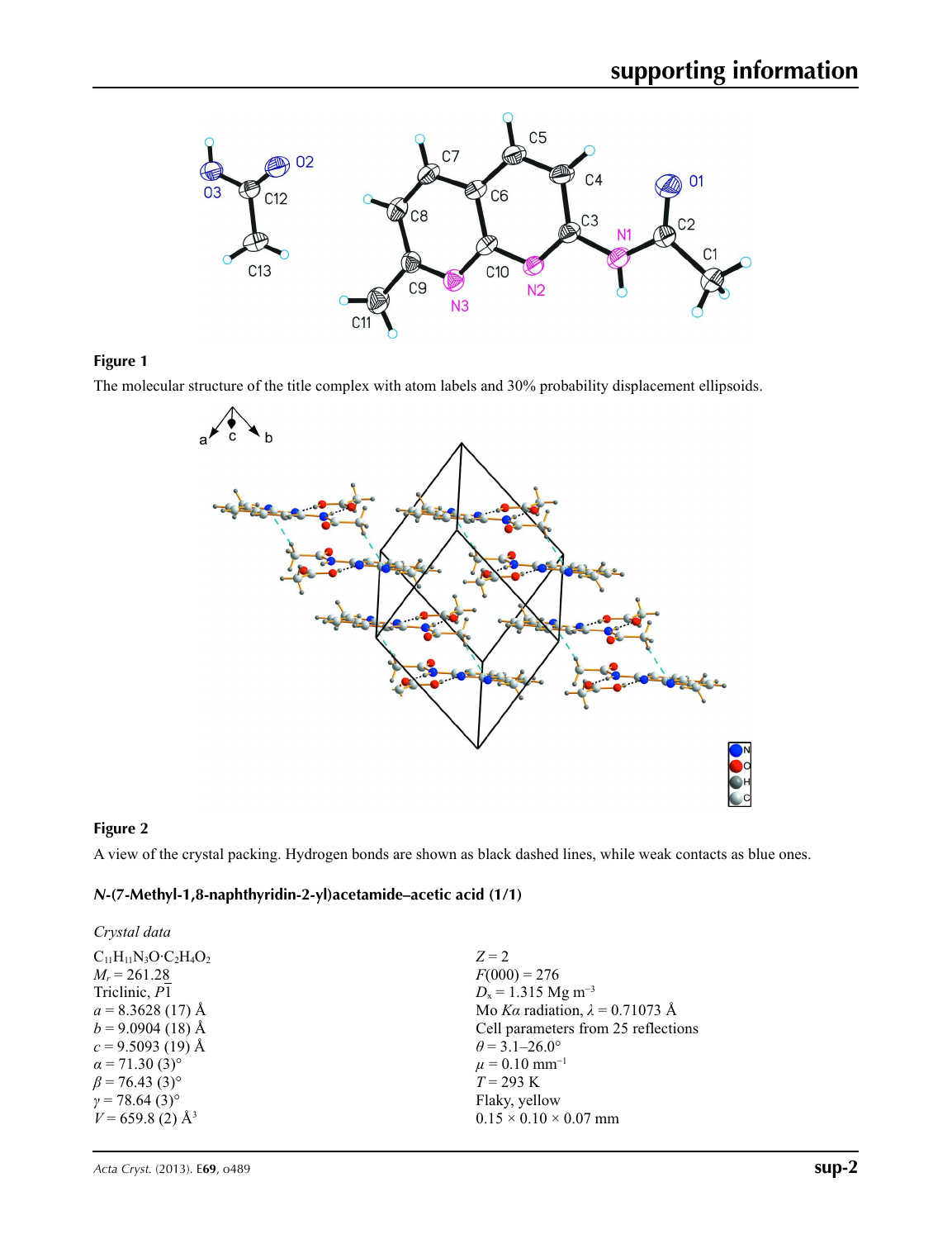

### **Figure 1**

The molecular structure of the title complex with atom labels and 30% probability displacement ellipsoids.



## **Figure 2**

A view of the crystal packing. Hydrogen bonds are shown as black dashed lines, while weak contacts as blue ones.

#### *N***-(7-Methyl-1,8-naphthyridin-2-yl)acetamide–acetic acid (1/1)**

| Crystal data                      |                                        |
|-----------------------------------|----------------------------------------|
| $C_{11}H_{11}N_3O·C_2H_4O_2$      | $Z = 2$                                |
| $M_r = 261.28$                    | $F(000) = 276$                         |
| Triclinic, P1                     | $D_x = 1.315$ Mg m <sup>-3</sup>       |
| $a = 8.3628(17)$ Å                | Mo Ka radiation, $\lambda = 0.71073$ Å |
| $b = 9.0904(18)$ Å                | Cell parameters from 25 reflections    |
| $c = 9.5093$ (19) Å               | $\theta$ = 3.1–26.0°                   |
| $\alpha$ = 71.30 (3) <sup>o</sup> | $\mu = 0.10$ mm <sup>-1</sup>          |
| $\beta$ = 76.43 (3) <sup>o</sup>  | $T = 293 \text{ K}$                    |
| $\gamma = 78.64(3)$ °             | Flaky, yellow                          |
| $V = 659.8$ (2) Å <sup>3</sup>    | $0.15 \times 0.10 \times 0.07$ mm      |
|                                   |                                        |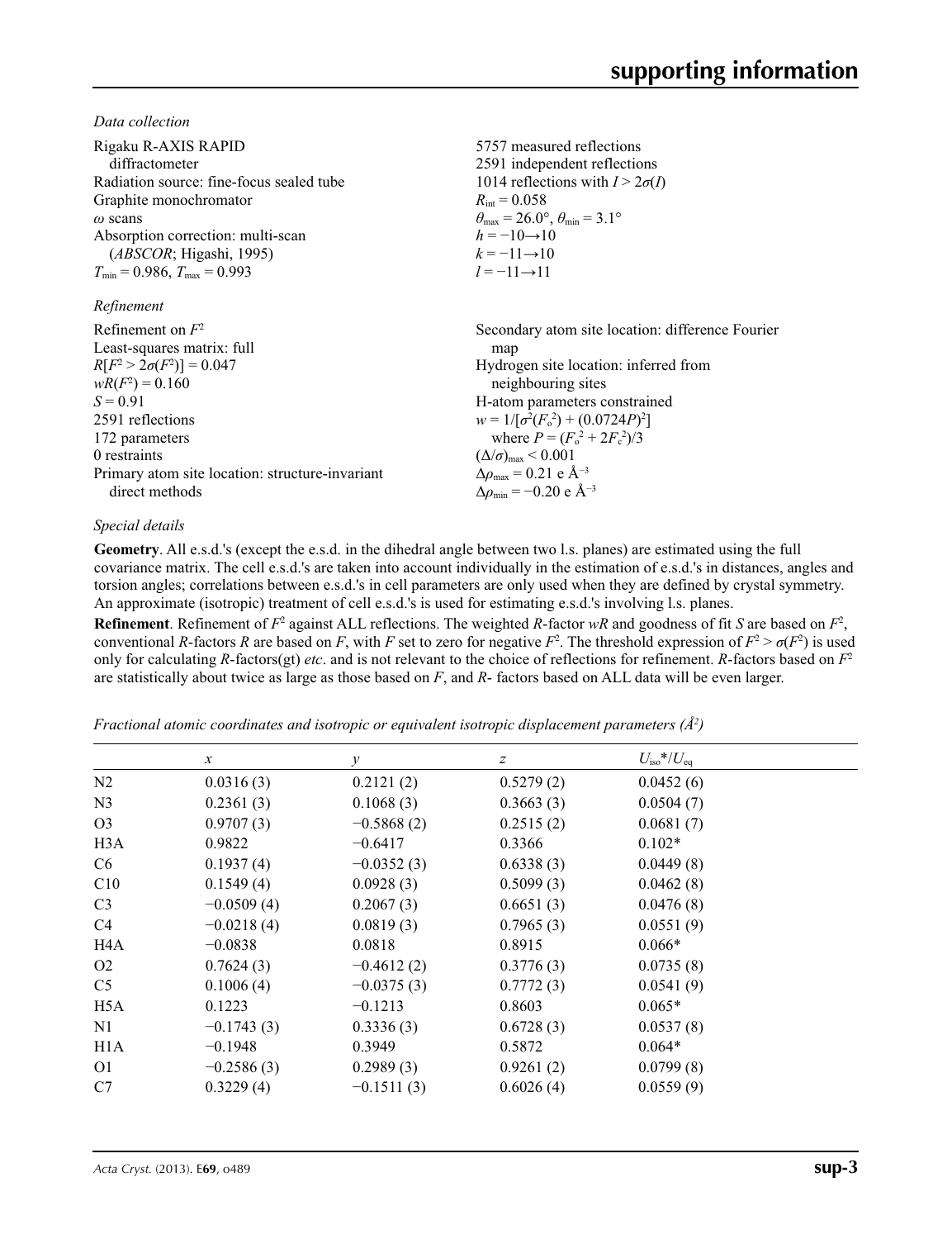*Data collection*

| Rigaku R-AXIS RAPID<br>diffractometer<br>Radiation source: fine-focus sealed tube<br>Graphite monochromator<br>$\omega$ scans<br>Absorption correction: multi-scan<br>(ABSCOR; Higashi, 1995)<br>$T_{\min}$ = 0.986, $T_{\max}$ = 0.993<br>Refinement | 5757 measured reflections<br>2591 independent reflections<br>1014 reflections with $I > 2\sigma(I)$<br>$R_{\text{int}} = 0.058$<br>$\theta_{\text{max}} = 26.0^{\circ}, \theta_{\text{min}} = 3.1^{\circ}$<br>$h = -10 \rightarrow 10$<br>$k = -11 \rightarrow 10$<br>$l = -11 \rightarrow 11$ |
|-------------------------------------------------------------------------------------------------------------------------------------------------------------------------------------------------------------------------------------------------------|------------------------------------------------------------------------------------------------------------------------------------------------------------------------------------------------------------------------------------------------------------------------------------------------|
| Refinement on $F^2$                                                                                                                                                                                                                                   | Secondary atom site location: difference Fourier                                                                                                                                                                                                                                               |
| Least-squares matrix: full                                                                                                                                                                                                                            | map                                                                                                                                                                                                                                                                                            |
| $R[F^2 > 2\sigma(F^2)] = 0.047$                                                                                                                                                                                                                       | Hydrogen site location: inferred from                                                                                                                                                                                                                                                          |
| $wR(F^2) = 0.160$                                                                                                                                                                                                                                     | neighbouring sites                                                                                                                                                                                                                                                                             |
| $S = 0.91$                                                                                                                                                                                                                                            | H-atom parameters constrained                                                                                                                                                                                                                                                                  |
| 2591 reflections                                                                                                                                                                                                                                      | $w = 1/[\sigma^2(F_0^2) + (0.0724P)^2]$                                                                                                                                                                                                                                                        |
| 172 parameters                                                                                                                                                                                                                                        | where $P = (F_0^2 + 2F_c^2)/3$                                                                                                                                                                                                                                                                 |
| 0 restraints                                                                                                                                                                                                                                          | $(\Delta/\sigma)_{\text{max}}$ < 0.001                                                                                                                                                                                                                                                         |
| Primary atom site location: structure-invariant                                                                                                                                                                                                       | $\Delta\rho_{\text{max}} = 0.21 \text{ e } \text{\AA}^{-3}$                                                                                                                                                                                                                                    |
| direct methods                                                                                                                                                                                                                                        | $\Delta\rho_{\rm min}$ = -0.20 e Å <sup>-3</sup>                                                                                                                                                                                                                                               |

#### *Special details*

**Geometry**. All e.s.d.'s (except the e.s.d. in the dihedral angle between two l.s. planes) are estimated using the full covariance matrix. The cell e.s.d.'s are taken into account individually in the estimation of e.s.d.'s in distances, angles and torsion angles; correlations between e.s.d.'s in cell parameters are only used when they are defined by crystal symmetry. An approximate (isotropic) treatment of cell e.s.d.'s is used for estimating e.s.d.'s involving l.s. planes.

**Refinement**. Refinement of  $F^2$  against ALL reflections. The weighted R-factor wR and goodness of fit *S* are based on  $F^2$ , conventional *R*-factors *R* are based on *F*, with *F* set to zero for negative  $F^2$ . The threshold expression of  $F^2 > \sigma(F^2)$  is used only for calculating *R*-factors(gt) *etc*. and is not relevant to the choice of reflections for refinement. *R*-factors based on *F*<sup>2</sup> are statistically about twice as large as those based on *F*, and *R*- factors based on ALL data will be even larger.

*Fractional atomic coordinates and isotropic or equivalent isotropic displacement parameters (Å<sup>2</sup>)* 

|                  | $\boldsymbol{\chi}$ | $\mathcal{Y}$ | $\boldsymbol{Z}$ | $U_{\rm iso}*/U_{\rm eq}$ |  |
|------------------|---------------------|---------------|------------------|---------------------------|--|
| N2               | 0.0316(3)           | 0.2121(2)     | 0.5279(2)        | 0.0452(6)                 |  |
| N <sub>3</sub>   | 0.2361(3)           | 0.1068(3)     | 0.3663(3)        | 0.0504(7)                 |  |
| O <sub>3</sub>   | 0.9707(3)           | $-0.5868(2)$  | 0.2515(2)        | 0.0681(7)                 |  |
| H <sub>3</sub> A | 0.9822              | $-0.6417$     | 0.3366           | $0.102*$                  |  |
| C <sub>6</sub>   | 0.1937(4)           | $-0.0352(3)$  | 0.6338(3)        | 0.0449(8)                 |  |
| C10              | 0.1549(4)           | 0.0928(3)     | 0.5099(3)        | 0.0462(8)                 |  |
| C <sub>3</sub>   | $-0.0509(4)$        | 0.2067(3)     | 0.6651(3)        | 0.0476(8)                 |  |
| C4               | $-0.0218(4)$        | 0.0819(3)     | 0.7965(3)        | 0.0551(9)                 |  |
| H4A              | $-0.0838$           | 0.0818        | 0.8915           | $0.066*$                  |  |
| O <sub>2</sub>   | 0.7624(3)           | $-0.4612(2)$  | 0.3776(3)        | 0.0735(8)                 |  |
| C <sub>5</sub>   | 0.1006(4)           | $-0.0375(3)$  | 0.7772(3)        | 0.0541(9)                 |  |
| H <sub>5</sub> A | 0.1223              | $-0.1213$     | 0.8603           | $0.065*$                  |  |
| N <sub>1</sub>   | $-0.1743(3)$        | 0.3336(3)     | 0.6728(3)        | 0.0537(8)                 |  |
| H <sub>1</sub> A | $-0.1948$           | 0.3949        | 0.5872           | $0.064*$                  |  |
| O <sub>1</sub>   | $-0.2586(3)$        | 0.2989(3)     | 0.9261(2)        | 0.0799(8)                 |  |
| C7               | 0.3229(4)           | $-0.1511(3)$  | 0.6026(4)        | 0.0559(9)                 |  |
|                  |                     |               |                  |                           |  |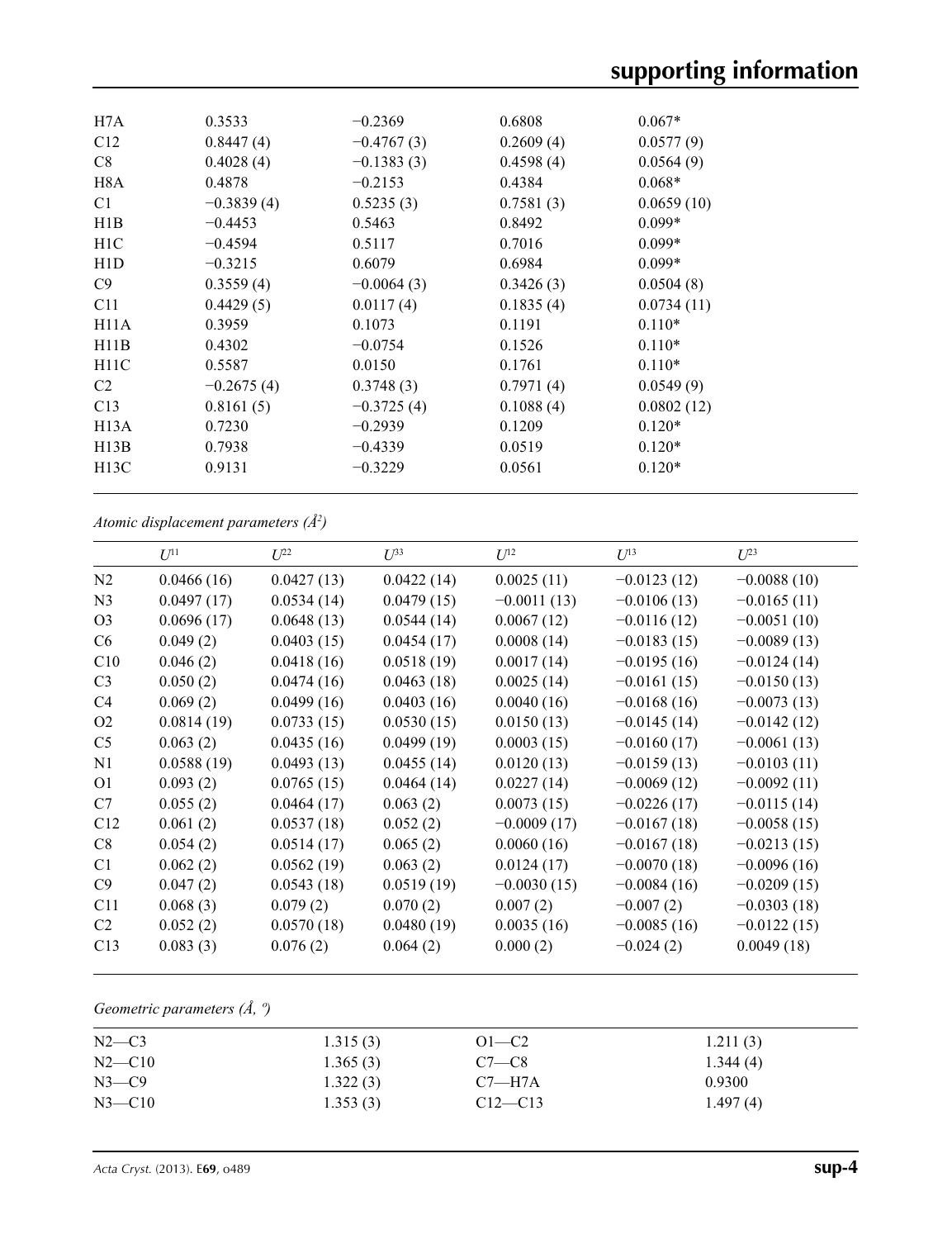| H7A              | 0.3533       | $-0.2369$    | 0.6808    | $0.067*$   |
|------------------|--------------|--------------|-----------|------------|
| C12              | 0.8447(4)    | $-0.4767(3)$ | 0.2609(4) | 0.0577(9)  |
| C8               | 0.4028(4)    | $-0.1383(3)$ | 0.4598(4) | 0.0564(9)  |
| H8A              | 0.4878       | $-0.2153$    | 0.4384    | $0.068*$   |
| C <sub>1</sub>   | $-0.3839(4)$ | 0.5235(3)    | 0.7581(3) | 0.0659(10) |
| H1B              | $-0.4453$    | 0.5463       | 0.8492    | $0.099*$   |
| H1C              | $-0.4594$    | 0.5117       | 0.7016    | $0.099*$   |
| H <sub>1</sub> D | $-0.3215$    | 0.6079       | 0.6984    | $0.099*$   |
| C9               | 0.3559(4)    | $-0.0064(3)$ | 0.3426(3) | 0.0504(8)  |
| C11              | 0.4429(5)    | 0.0117(4)    | 0.1835(4) | 0.0734(11) |
| H11A             | 0.3959       | 0.1073       | 0.1191    | $0.110*$   |
| H11B             | 0.4302       | $-0.0754$    | 0.1526    | $0.110*$   |
| H11C             | 0.5587       | 0.0150       | 0.1761    | $0.110*$   |
| C <sub>2</sub>   | $-0.2675(4)$ | 0.3748(3)    | 0.7971(4) | 0.0549(9)  |
| C13              | 0.8161(5)    | $-0.3725(4)$ | 0.1088(4) | 0.0802(12) |
| H13A             | 0.7230       | $-0.2939$    | 0.1209    | $0.120*$   |
| H13B             | 0.7938       | $-0.4339$    | 0.0519    | $0.120*$   |
| H13C             | 0.9131       | $-0.3229$    | 0.0561    | $0.120*$   |
|                  |              |              |           |            |

*Atomic displacement parameters (Å2 )*

|                | $U^{11}$   | $L^{22}$   | $\mathcal{L}^{\beta 3}$ | $U^{12}$      | $U^{13}$      | $L^{23}$      |
|----------------|------------|------------|-------------------------|---------------|---------------|---------------|
| N2             | 0.0466(16) | 0.0427(13) | 0.0422(14)              | 0.0025(11)    | $-0.0123(12)$ | $-0.0088(10)$ |
| N <sub>3</sub> | 0.0497(17) | 0.0534(14) | 0.0479(15)              | $-0.0011(13)$ | $-0.0106(13)$ | $-0.0165(11)$ |
| O <sub>3</sub> | 0.0696(17) | 0.0648(13) | 0.0544(14)              | 0.0067(12)    | $-0.0116(12)$ | $-0.0051(10)$ |
| C <sub>6</sub> | 0.049(2)   | 0.0403(15) | 0.0454(17)              | 0.0008(14)    | $-0.0183(15)$ | $-0.0089(13)$ |
| C10            | 0.046(2)   | 0.0418(16) | 0.0518(19)              | 0.0017(14)    | $-0.0195(16)$ | $-0.0124(14)$ |
| C <sub>3</sub> | 0.050(2)   | 0.0474(16) | 0.0463(18)              | 0.0025(14)    | $-0.0161(15)$ | $-0.0150(13)$ |
| C <sub>4</sub> | 0.069(2)   | 0.0499(16) | 0.0403(16)              | 0.0040(16)    | $-0.0168(16)$ | $-0.0073(13)$ |
| O <sub>2</sub> | 0.0814(19) | 0.0733(15) | 0.0530(15)              | 0.0150(13)    | $-0.0145(14)$ | $-0.0142(12)$ |
| C <sub>5</sub> | 0.063(2)   | 0.0435(16) | 0.0499(19)              | 0.0003(15)    | $-0.0160(17)$ | $-0.0061(13)$ |
| N1             | 0.0588(19) | 0.0493(13) | 0.0455(14)              | 0.0120(13)    | $-0.0159(13)$ | $-0.0103(11)$ |
| O <sub>1</sub> | 0.093(2)   | 0.0765(15) | 0.0464(14)              | 0.0227(14)    | $-0.0069(12)$ | $-0.0092(11)$ |
| C7             | 0.055(2)   | 0.0464(17) | 0.063(2)                | 0.0073(15)    | $-0.0226(17)$ | $-0.0115(14)$ |
| C12            | 0.061(2)   | 0.0537(18) | 0.052(2)                | $-0.0009(17)$ | $-0.0167(18)$ | $-0.0058(15)$ |
| C8             | 0.054(2)   | 0.0514(17) | 0.065(2)                | 0.0060(16)    | $-0.0167(18)$ | $-0.0213(15)$ |
| C <sub>1</sub> | 0.062(2)   | 0.0562(19) | 0.063(2)                | 0.0124(17)    | $-0.0070(18)$ | $-0.0096(16)$ |
| C9             | 0.047(2)   | 0.0543(18) | 0.0519(19)              | $-0.0030(15)$ | $-0.0084(16)$ | $-0.0209(15)$ |
| C11            | 0.068(3)   | 0.079(2)   | 0.070(2)                | 0.007(2)      | $-0.007(2)$   | $-0.0303(18)$ |
| C2             | 0.052(2)   | 0.0570(18) | 0.0480(19)              | 0.0035(16)    | $-0.0085(16)$ | $-0.0122(15)$ |
| C13            | 0.083(3)   | 0.076(2)   | 0.064(2)                | 0.000(2)      | $-0.024(2)$   | 0.0049(18)    |
|                |            |            |                         |               |               |               |

## *Geometric parameters (Å, º)*

| $N2-C3$    | 1.315(3) | $O1 - C2$   | 1.211(3) |
|------------|----------|-------------|----------|
| $N2$ —C10  | 1.365(3) | $C7-C8$     | 1.344(4) |
| $N3$ —C9   | 1.322(3) | $C7 - H7A$  | 0.9300   |
| $N3 - C10$ | 1.353(3) | $C12 - C13$ | 1.497(4) |
|            |          |             |          |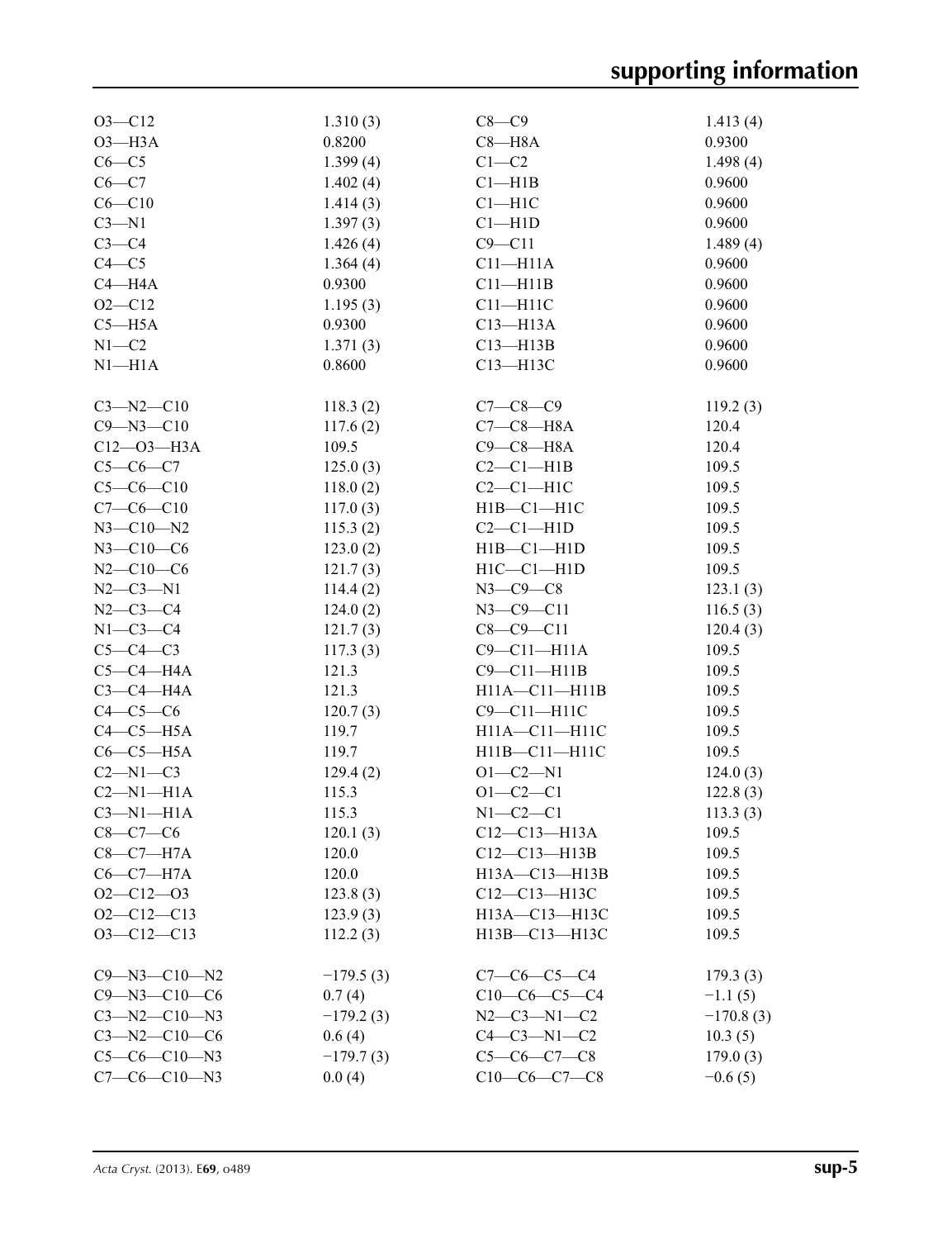| $O3 - C12$           | 1.310(3)    | $C8-C9$             | 1.413(4)    |
|----------------------|-------------|---------------------|-------------|
| $O3 - H3A$           | 0.8200      | $C8 - H8A$          | 0.9300      |
| $C6-C5$              | 1.399(4)    | $C1-C2$             | 1.498(4)    |
| $C6 - C7$            | 1.402(4)    | Cl—H1B              | 0.9600      |
| $C6 - C10$           | 1.414(3)    | $C1 - H1C$          | 0.9600      |
| $C3 - N1$            | 1.397(3)    | $Cl - H1D$          | 0.9600      |
| $C3-C4$              | 1.426(4)    | $C9 - C11$          | 1.489(4)    |
| $C4 - C5$            | 1.364(4)    | $C11 - H11A$        | 0.9600      |
| $C4 - H4A$           | 0.9300      | $C11 - H11B$        | 0.9600      |
| $O2 - C12$           | 1.195(3)    | $C11 - H11C$        | 0.9600      |
| $C5 - H5A$           | 0.9300      | $C13 - H13A$        | 0.9600      |
| $N1-C2$              | 1.371(3)    | $C13 - H13B$        | 0.9600      |
| $N1 - H1A$           | 0.8600      | C13-H13C            | 0.9600      |
|                      |             |                     |             |
| $C3 - N2 - C10$      | 118.3(2)    | $C7 - C8 - C9$      | 119.2(3)    |
| $C9 - N3 - C10$      | 117.6(2)    | $C7-C8-H8A$         | 120.4       |
| $C12 - O3 - H3A$     | 109.5       | $C9 - C8 - H8A$     | 120.4       |
| $C5 - C6 - C7$       | 125.0(3)    | $C2-C1-H1B$         | 109.5       |
| $C5-C6-C10$          | 118.0(2)    | $C2-C1-H1C$         | 109.5       |
| $C7-C6-C10$          | 117.0(3)    | $H1B - C1 - H1C$    | 109.5       |
| $N3 - C10 - N2$      | 115.3(2)    | $C2-C1-H1D$         | 109.5       |
| $N3 - C10 - C6$      | 123.0(2)    | $H1B - C1 - H1D$    | 109.5       |
| $N2 - C10 - C6$      | 121.7(3)    | $H1C - C1 - H1D$    | 109.5       |
| $N2 - C3 - N1$       | 114.4(2)    | $N3$ –C $9$ –C $8$  | 123.1(3)    |
| $N2 - C3 - C4$       | 124.0(2)    | $N3 - C9 - C11$     | 116.5(3)    |
| $N1-C3-C4$           | 121.7(3)    | $C8 - C9 - C11$     | 120.4(3)    |
| $C5-C4-C3$           | 117.3(3)    | $C9 - C11 - H11A$   | 109.5       |
| $C5-C4-H4A$          | 121.3       | $C9 - C11 - H11B$   | 109.5       |
|                      |             |                     |             |
| $C3-C4-H4A$          | 121.3       | $H11A - C11 - H11B$ | 109.5       |
| $C4-C5-C6$           | 120.7(3)    | C9-C11-H11C         | 109.5       |
| $C4-C5-H5A$          | 119.7       | H11A-C11-H11C       | 109.5       |
| $C6-C5-H5A$          | 119.7       | H11B-C11-H11C       | 109.5       |
| $C2-M1-C3$           | 129.4(2)    | $O1 - C2 - N1$      | 124.0(3)    |
| $C2-M1-H1A$          | 115.3       | $O1 - C2 - C1$      | 122.8(3)    |
| $C3-M1-H1A$          | 115.3       | $N1-C2-C1$          | 113.3(3)    |
| $C8 - C7 - C6$       | 120.1(3)    | $C12-C13-H13A$      | 109.5       |
| $C8-C7-H7A$          | 120.0       | $C12 - C13 - H13B$  | 109.5       |
| $C6-C7-H7A$          | 120.0       | H13A-C13-H13B       | 109.5       |
| $O2 - C12 - O3$      | 123.8(3)    | $C12-C13-H13C$      | 109.5       |
| $O2 - C12 - C13$     | 123.9(3)    | H13A-C13-H13C       | 109.5       |
| $O3 - Cl2 - Cl3$     | 112.2(3)    | H13B-C13-H13C       | 109.5       |
| $C9 - N3 - C10 - N2$ | $-179.5(3)$ | $C7-C6-C5-C4$       | 179.3(3)    |
| $C9 - N3 - C10 - C6$ | 0.7(4)      | $C10-C6-C5-C4$      | $-1.1(5)$   |
| $C3 - N2 - C10 - N3$ | $-179.2(3)$ | $N2 - C3 - N1 - C2$ | $-170.8(3)$ |
| $C3 - N2 - C10 - C6$ | 0.6(4)      | $C4-C3-N1-C2$       |             |
| $C5-C6-C10-N3$       | $-179.7(3)$ | $C5-C6-C7-C8$       | 10.3(5)     |
|                      |             |                     | 179.0(3)    |
| $C7-C6-C10-N3$       | 0.0(4)      | $C10-C6-C7-C8$      | $-0.6(5)$   |